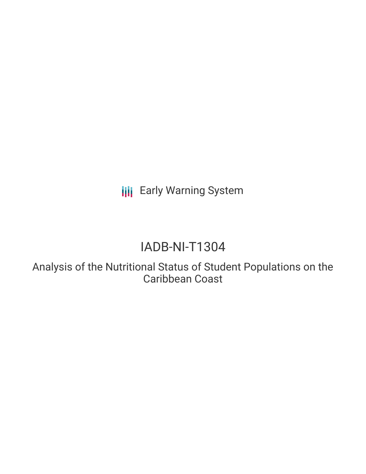**III** Early Warning System

# IADB-NI-T1304

Analysis of the Nutritional Status of Student Populations on the Caribbean Coast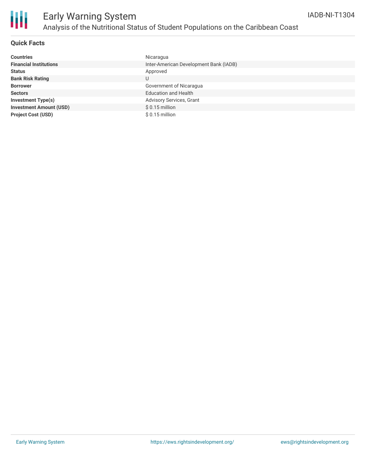

# Early Warning System Analysis of the Nutritional Status of Student Populations on the Caribbean Coast

#### **Quick Facts**

| <b>Countries</b>               | Nicaragua                              |
|--------------------------------|----------------------------------------|
| <b>Financial Institutions</b>  | Inter-American Development Bank (IADB) |
| <b>Status</b>                  | Approved                               |
| <b>Bank Risk Rating</b>        | U                                      |
| <b>Borrower</b>                | Government of Nicaragua                |
| <b>Sectors</b>                 | <b>Education and Health</b>            |
| <b>Investment Type(s)</b>      | <b>Advisory Services, Grant</b>        |
| <b>Investment Amount (USD)</b> | $$0.15$ million                        |
| <b>Project Cost (USD)</b>      | $$0.15$ million                        |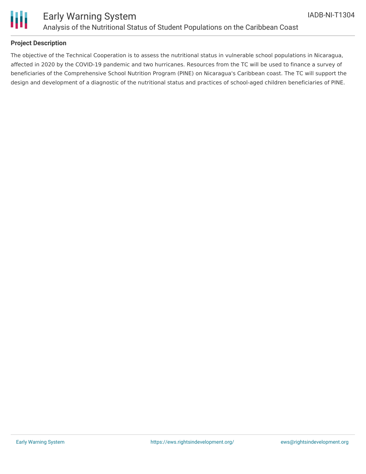

# Ш

## Early Warning System Analysis of the Nutritional Status of Student Populations on the Caribbean Coast

### **Project Description**

The objective of the Technical Cooperation is to assess the nutritional status in vulnerable school populations in Nicaragua, affected in 2020 by the COVID-19 pandemic and two hurricanes. Resources from the TC will be used to finance a survey of beneficiaries of the Comprehensive School Nutrition Program (PINE) on Nicaragua's Caribbean coast. The TC will support the design and development of a diagnostic of the nutritional status and practices of school-aged children beneficiaries of PINE.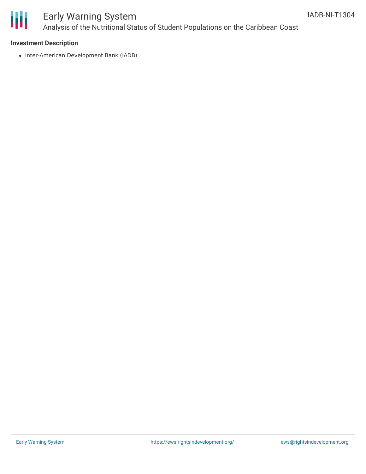

# Early Warning System Analysis of the Nutritional Status of Student Populations on the Caribbean Coast

#### **Investment Description**

• Inter-American Development Bank (IADB)